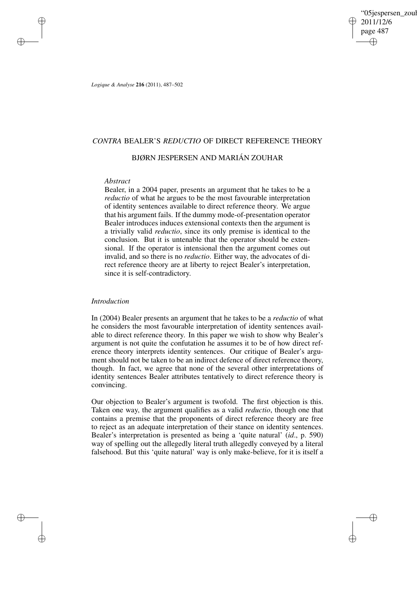'05iespersen\_zoul 2011/12/6 page 487 ✐ ✐

✐

✐

*Logique & Analyse* **216** (2011), 487–502

# *CONTRA* BEALER'S *REDUCTIO* OF DIRECT REFERENCE THEORY

## BJØRN JESPERSEN AND MARIÁN ZOUHAR

## *Abstract*

✐

✐

✐

✐

Bealer, in a 2004 paper, presents an argument that he takes to be a *reductio* of what he argues to be the most favourable interpretation of identity sentences available to direct reference theory. We argue that his argument fails. If the dummy mode-of-presentation operator Bealer introduces induces extensional contexts then the argument is a trivially valid *reductio*, since its only premise is identical to the conclusion. But it is untenable that the operator should be extensional. If the operator is intensional then the argument comes out invalid, and so there is no *reductio*. Either way, the advocates of direct reference theory are at liberty to reject Bealer's interpretation, since it is self-contradictory.

## *Introduction*

In (2004) Bealer presents an argument that he takes to be a *reductio* of what he considers the most favourable interpretation of identity sentences available to direct reference theory. In this paper we wish to show why Bealer's argument is not quite the confutation he assumes it to be of how direct reference theory interprets identity sentences. Our critique of Bealer's argument should not be taken to be an indirect defence of direct reference theory, though. In fact, we agree that none of the several other interpretations of identity sentences Bealer attributes tentatively to direct reference theory is convincing.

Our objection to Bealer's argument is twofold. The first objection is this. Taken one way, the argument qualifies as a valid *reductio*, though one that contains a premise that the proponents of direct reference theory are free to reject as an adequate interpretation of their stance on identity sentences. Bealer's interpretation is presented as being a 'quite natural' (*id*., p. 590) way of spelling out the allegedly literal truth allegedly conveyed by a literal falsehood. But this 'quite natural' way is only make-believe, for it is itself a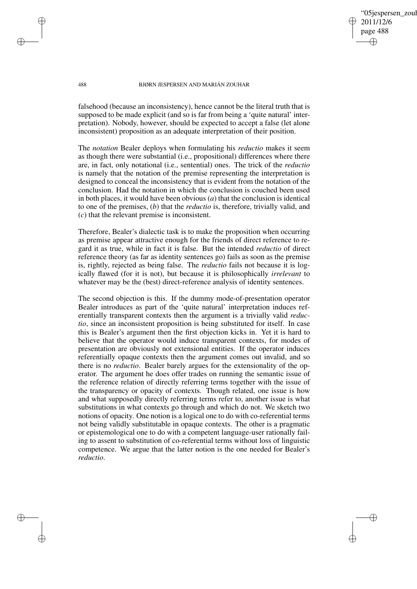05iespersen zoul 2011/12/6 page 488 ✐ ✐

✐

✐

### 488 BJØRN JESPERSEN AND MARIÁN ZOUHAR

✐

✐

✐

✐

falsehood (because an inconsistency), hence cannot be the literal truth that is supposed to be made explicit (and so is far from being a 'quite natural' interpretation). Nobody, however, should be expected to accept a false (let alone inconsistent) proposition as an adequate interpretation of their position.

The *notation* Bealer deploys when formulating his *reductio* makes it seem as though there were substantial (i.e., propositional) differences where there are, in fact, only notational (i.e., sentential) ones. The trick of the *reductio* is namely that the notation of the premise representing the interpretation is designed to conceal the inconsistency that is evident from the notation of the conclusion. Had the notation in which the conclusion is couched been used in both places, it would have been obvious (*a*) that the conclusion is identical to one of the premises, (*b*) that the *reductio* is, therefore, trivially valid, and (*c*) that the relevant premise is inconsistent.

Therefore, Bealer's dialectic task is to make the proposition when occurring as premise appear attractive enough for the friends of direct reference to regard it as true, while in fact it is false. But the intended *reductio* of direct reference theory (as far as identity sentences go) fails as soon as the premise is, rightly, rejected as being false. The *reductio* fails not because it is logically flawed (for it is not), but because it is philosophically *irrelevant* to whatever may be the (best) direct-reference analysis of identity sentences.

The second objection is this. If the dummy mode-of-presentation operator Bealer introduces as part of the 'quite natural' interpretation induces referentially transparent contexts then the argument is a trivially valid *reductio*, since an inconsistent proposition is being substituted for itself. In case this is Bealer's argument then the first objection kicks in. Yet it is hard to believe that the operator would induce transparent contexts, for modes of presentation are obviously not extensional entities. If the operator induces referentially opaque contexts then the argument comes out invalid, and so there is no *reductio*. Bealer barely argues for the extensionality of the operator. The argument he does offer trades on running the semantic issue of the reference relation of directly referring terms together with the issue of the transparency or opacity of contexts. Though related, one issue is how and what supposedly directly referring terms refer to, another issue is what substitutions in what contexts go through and which do not. We sketch two notions of opacity. One notion is a logical one to do with co-referential terms not being validly substitutable in opaque contexts. The other is a pragmatic or epistemological one to do with a competent language-user rationally failing to assent to substitution of co-referential terms without loss of linguistic competence. We argue that the latter notion is the one needed for Bealer's *reductio*.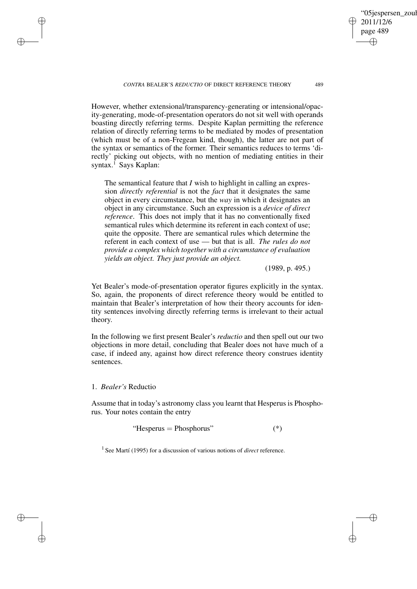*CONTRA* BEALER'S *REDUCTIO* OF DIRECT REFERENCE THEORY 489

However, whether extensional/transparency-generating or intensional/opacity-generating, mode-of-presentation operators do not sit well with operands boasting directly referring terms. Despite Kaplan permitting the reference relation of directly referring terms to be mediated by modes of presentation (which must be of a non-Fregean kind, though), the latter are not part of the syntax or semantics of the former. Their semantics reduces to terms 'directly' picking out objects, with no mention of mediating entities in their syntax.<sup>1</sup> Says Kaplan:

The semantical feature that *I* wish to highlight in calling an expression *directly referential* is not the *fact* that it designates the same object in every circumstance, but the *way* in which it designates an object in any circumstance. Such an expression is a *device of direct reference*. This does not imply that it has no conventionally fixed semantical rules which determine its referent in each context of use; quite the opposite. There are semantical rules which determine the referent in each context of use — but that is all. *The rules do not provide a complex which together with a circumstance of evaluation yields an object. They just provide an object.*

(1989, p. 495.)

'05iespersen\_zoul

2011/12/6 page 489

✐

✐

✐

✐

Yet Bealer's mode-of-presentation operator figures explicitly in the syntax. So, again, the proponents of direct reference theory would be entitled to maintain that Bealer's interpretation of how their theory accounts for identity sentences involving directly referring terms is irrelevant to their actual theory.

In the following we first present Bealer's *reductio* and then spell out our two objections in more detail, concluding that Bealer does not have much of a case, if indeed any, against how direct reference theory construes identity sentences.

1. *Bealer's* Reductio

✐

✐

✐

✐

Assume that in today's astronomy class you learnt that Hesperus is Phosphorus. Your notes contain the entry

"Hesperus = Phosphorus"  $(*)$ 

<sup>1</sup> See Martí (1995) for a discussion of various notions of *direct* reference.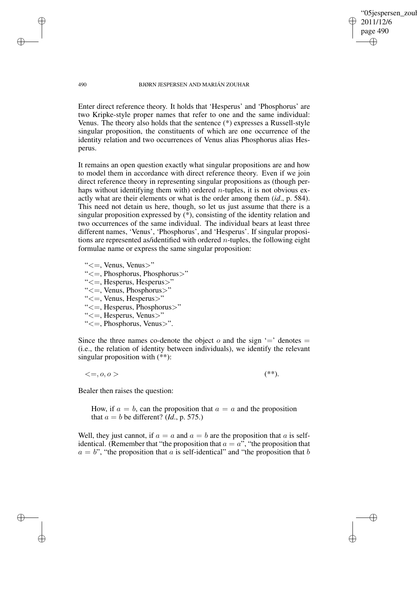'05jespersen\_zoul 2011/12/6 page 490 ✐ ✐

✐

✐

### 490 BJØRN JESPERSEN AND MARIÁN ZOUHAR

Enter direct reference theory. It holds that 'Hesperus' and 'Phosphorus' are two Kripke-style proper names that refer to one and the same individual: Venus. The theory also holds that the sentence (\*) expresses a Russell-style singular proposition, the constituents of which are one occurrence of the identity relation and two occurrences of Venus alias Phosphorus alias Hesperus.

It remains an open question exactly what singular propositions are and how to model them in accordance with direct reference theory. Even if we join direct reference theory in representing singular propositions as (though perhaps without identifying them with) ordered *n*-tuples, it is not obvious exactly what are their elements or what is the order among them (*id*., p. 584). This need not detain us here, though, so let us just assume that there is a singular proposition expressed by (\*), consisting of the identity relation and two occurrences of the same individual. The individual bears at least three different names, 'Venus', 'Phosphorus', and 'Hesperus'. If singular propositions are represented as/identified with ordered  $n$ -tuples, the following eight formulae name or express the same singular proposition:

" $\leq$  =, Venus, Venus $>$ "

✐

✐

✐

✐

- "<=, Phosphorus, Phosphorus>"
- "<=, Hesperus, Hesperus>"
- "<=, Venus, Phosphorus>"
- "<=, Venus, Hesperus>"
- "<=, Hesperus, Phosphorus>"
- "<=, Hesperus, Venus>"
- "<=, Phosphorus, Venus>".

Since the three names co-denote the object  $o$  and the sign  $=$  denotes  $=$ (i.e., the relation of identity between individuals), we identify the relevant singular proposition with (\*\*):

 $\langle 1, 0, 0 \rangle$  (\*\*).

Bealer then raises the question:

How, if  $a = b$ , can the proposition that  $a = a$  and the proposition that  $a = b$  be different? (*Id.*, p. 575.)

Well, they just cannot, if  $a = a$  and  $a = b$  are the proposition that a is selfidentical. (Remember that "the proposition that  $a = a$ ", "the proposition that  $a = b$ ", "the proposition that a is self-identical" and "the proposition that b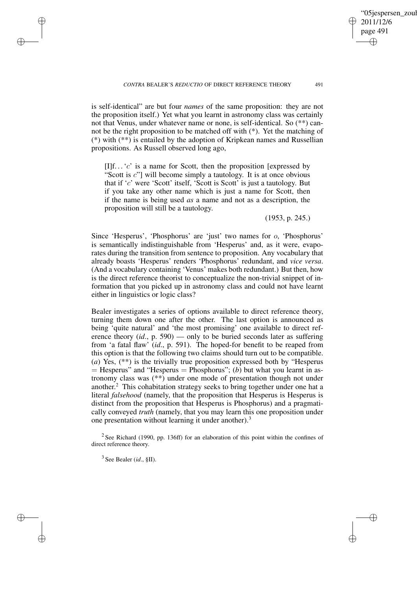✐

05iespersen\_zoul

is self-identical" are but four *names* of the same proposition: they are not the proposition itself.) Yet what you learnt in astronomy class was certainly not that Venus, under whatever name or none, is self-identical. So (\*\*) cannot be the right proposition to be matched off with (\*). Yet the matching of (\*) with (\*\*) is entailed by the adoption of Kripkean names and Russellian propositions. As Russell observed long ago,

 $[II]$ f... 'c' is a name for Scott, then the proposition [expressed by "Scott is c"] will become simply a tautology. It is at once obvious that if 'c' were 'Scott' itself, 'Scott is Scott' is just a tautology. But if you take any other name which is just a name for Scott, then if the name is being used *as* a name and not as a description, the proposition will still be a tautology.

(1953, p. 245.)

Since 'Hesperus', 'Phosphorus' are 'just' two names for o, 'Phosphorus' is semantically indistinguishable from 'Hesperus' and, as it were, evaporates during the transition from sentence to proposition. Any vocabulary that already boasts 'Hesperus' renders 'Phosphorus' redundant, and *vice versa*. (And a vocabulary containing 'Venus' makes both redundant.) But then, how is the direct reference theorist to conceptualize the non-trivial snippet of information that you picked up in astronomy class and could not have learnt either in linguistics or logic class?

Bealer investigates a series of options available to direct reference theory, turning them down one after the other. The last option is announced as being 'quite natural' and 'the most promising' one available to direct reference theory (*id*., p. 590) — only to be buried seconds later as suffering from 'a fatal flaw' (*id*., p. 591). The hoped-for benefit to be reaped from this option is that the following two claims should turn out to be compatible. (*a*) Yes, (\*\*) is the trivially true proposition expressed both by "Hesperus  $=$  Hesperus" and "Hesperus  $=$  Phosphorus"; (b) but what you learnt in astronomy class was (\*\*) under one mode of presentation though not under another. <sup>2</sup> This cohabitation strategy seeks to bring together under one hat a literal *falsehood* (namely, that the proposition that Hesperus is Hesperus is distinct from the proposition that Hesperus is Phosphorus) and a pragmatically conveyed *truth* (namely, that you may learn this one proposition under one presentation without learning it under another).<sup>3</sup>

<sup>2</sup> See Richard (1990, pp. 136ff) for an elaboration of this point within the confines of direct reference theory.

3 See Bealer (*id*., §II).

✐

✐

✐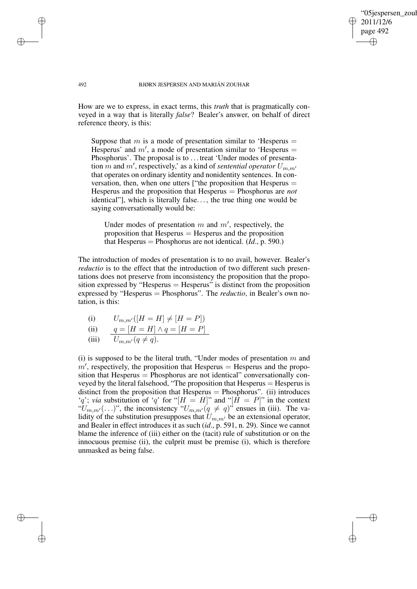'05jespersen zoul 2011/12/6 page 492 ✐ ✐

✐

✐

492 BJØRN JESPERSEN AND MARIÁN ZOUHAR

How are we to express, in exact terms, this *truth* that is pragmatically conveyed in a way that is literally *false*? Bealer's answer, on behalf of direct reference theory, is this:

Suppose that  $m$  is a mode of presentation similar to 'Hesperus  $=$ Hesperus' and  $m'$ , a mode of presentation similar to 'Hesperus = Phosphorus'. The proposal is to . . . treat 'Under modes of presentation m and m', respectively,' as a kind of *sentential operator*  $U_{m,m'}$ that operates on ordinary identity and nonidentity sentences. In conversation, then, when one utters ["the proposition that Hesperus = Hesperus and the proposition that Hesperus = Phosphorus are *not* identical"], which is literally false. . . , the true thing one would be saying conversationally would be:

Under modes of presentation  $m$  and  $m'$ , respectively, the proposition that  $H$ esperus  $=$  Hesperus and the proposition that Hesperus = Phosphorus are not identical. (*Id*., p. 590.)

The introduction of modes of presentation is to no avail, however. Bealer's *reductio* is to the effect that the introduction of two different such presentations does not preserve from inconsistency the proposition that the proposition expressed by "Hesperus  $=$  Hesperus" is distinct from the proposition expressed by "Hesperus = Phosphorus". The *reductio*, in Bealer's own notation, is this:

(i) 
$$
U_{m,m'}([H = H] \neq [H = P])
$$

$$
(ii) \qquad q = [H = H] \wedge q = [H = P]
$$

(iii) 
$$
U_{m,m'}(q \neq q)
$$
.

(i) is supposed to be the literal truth, "Under modes of presentation  $m$  and  $m'$ , respectively, the proposition that Hesperus = Hesperus and the proposition that  $H$ esperus  $=$  Phosphorus are not identical" conversationally conveyed by the literal falsehood, "The proposition that Hesperus = Hesperus is distinct from the proposition that Hesperus = Phosphorus". (ii) introduces 'q'; *via* substitution of 'q' for "[ $H = H$ ]" and "[ $H = P$ ]" in the context " $U_{m,m'}(\ldots)$ ", the inconsistency " $U_{m,m'}(q \neq q)$ " ensues in (iii). The validity of the substitution presupposes that  $U_{m,m'}$  be an extensional operator, and Bealer in effect introduces it as such (*id*., p. 591, n. 29). Since we cannot blame the inference of (iii) either on the (tacit) rule of substitution or on the innocuous premise (ii), the culprit must be premise (i), which is therefore unmasked as being false.

✐

✐

✐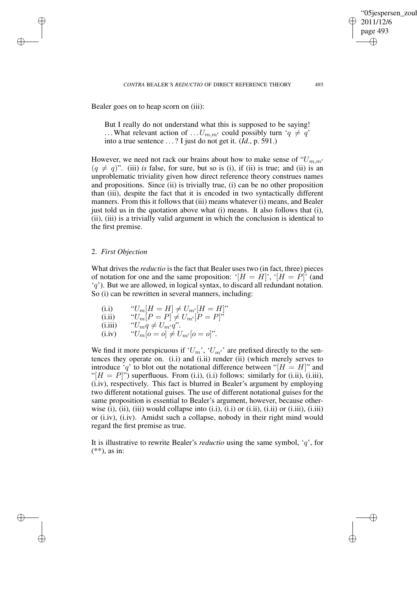Bealer goes on to heap scorn on (iii):

But I really do not understand what this is supposed to be saying! ... What relevant action of ...  $U_{m,m'}$  could possibly turn ' $q \neq q'$ ' into a true sentence . . . ? I just do not get it. (*Id*., p. 591.)

However, we need not rack our brains about how to make sense of " $U_{m,m}$ "  $(q \neq q)$ ". (iii) *is* false, for sure, but so is (i), if (ii) is true; and (ii) is an unproblematic triviality given how direct reference theory construes names and propositions. Since (ii) is trivially true, (i) can be no other proposition than (iii), despite the fact that it is encoded in two syntactically different manners. From this it follows that (iii) means whatever (i) means, and Bealer just told us in the quotation above what (i) means. It also follows that (i), (ii), (iii) is a trivially valid argument in which the conclusion is identical to the first premise.

## 2. *First Objection*

✐

✐

✐

✐

What drives the *reductio* is the fact that Bealer uses two (in fact, three) pieces of notation for one and the same proposition: ' $[H = H]$ ', ' $[H = P]$ ' (and  $(q')$ . But we are allowed, in logical syntax, to discard all redundant notation. So (i) can be rewritten in several manners, including:

(i.i) "
$$
U_m[H = H] \neq U_{m'}[H = H]
$$
"  
\n(i.ii) " $U_m[P = P] \neq U_{m'}[P = P]$ "  
\n(i.iii) " $U_m q \neq U_{m'} q$ ".  
\n(i.iv) " $U_m[o = o] \neq U_{m'}[o = o]$ ".

We find it more perspicuous if ' $U_m$ ', ' $U_{m'}$ ' are prefixed directly to the sentences they operate on. (i.i) and (i.ii) render (ii) (which merely serves to introduce 'q' to blot out the notational difference between "[ $H = H$ ]" and "[ $H = P$ ]") superfluous. From (i.i), (i.i) follows: similarly for (i.ii), (i.iii), (i.iv), respectively. This fact is blurred in Bealer's argument by employing two different notational guises. The use of different notational guises for the same proposition is essential to Bealer's argument, however, because otherwise (i), (iii) would collapse into (i.i), (i.i) or (i.ii), (i.ii) or (i.iii), (i.iii) or (i.iv), (i.iv). Amidst such a collapse, nobody in their right mind would regard the first premise as true.

It is illustrative to rewrite Bealer's *reductio* using the same symbol, 'q', for  $(**)$ , as in:

✐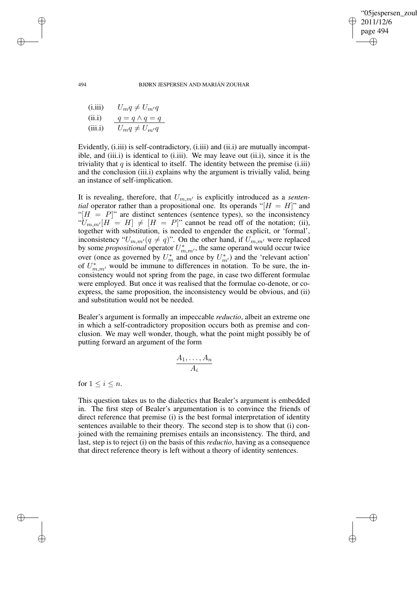✐

494 BJØRN JESPERSEN AND MARIÁN ZOUHAR

(i.iii) 
$$
U_m q \neq U_{m'} q
$$
  
\n(ii.i)  $q = q \land q = q$   
\n(iii.i)  $U_m q \neq U_{m'} q$ 

Evidently, (i.iii) is self-contradictory, (i.iii) and (ii.i) are mutually incompatible, and (iii.i) is identical to (i.iii). We may leave out (ii.i), since it is the triviality that  $q$  is identical to itself. The identity between the premise (i.iii) and the conclusion (iii.i) explains why the argument is trivially valid, being an instance of self-implication.

It is revealing, therefore, that  $U_{m,m'}$  is explicitly introduced as a *sentential* operator rather than a propositional one. Its operands " $[H = H]$ " and " $[H = P]$ " are distinct sentences (sentence types), so the inconsistency " $U_{m,m'}[H = H] \neq [H = P]$ " cannot be read off of the notation; (ii), together with substitution, is needed to engender the explicit, or 'formal', inconsistency " $U_{m,m'}(q \neq q)$ ". On the other hand, if  $U_{m,m'}$  were replaced by some *propositional* operator  $U_{m,m'}^*$ , the same operand would occur twice over (once as governed by  $U_m^*$  and once by  $U_{m'}^*$ ) and the 'relevant action' of  $U_{m,m'}^*$  would be immune to differences in notation. To be sure, the inconsistency would not spring from the page, in case two different formulae were employed. But once it was realised that the formulae co-denote, or coexpress, the same proposition, the inconsistency would be obvious, and (ii) and substitution would not be needed.

Bealer's argument is formally an impeccable *reductio*, albeit an extreme one in which a self-contradictory proposition occurs both as premise and conclusion. We may well wonder, though, what the point might possibly be of putting forward an argument of the form

$$
\frac{A_1,\ldots,A_n}{A_i}
$$

for  $1 \leq i \leq n$ .

This question takes us to the dialectics that Bealer's argument is embedded in. The first step of Bealer's argumentation is to convince the friends of direct reference that premise (i) is the best formal interpretation of identity sentences available to their theory. The second step is to show that (i) conjoined with the remaining premises entails an inconsistency. The third, and last, step is to reject (i) on the basis of this *reductio*, having as a consequence that direct reference theory is left without a theory of identity sentences.

✐

✐

✐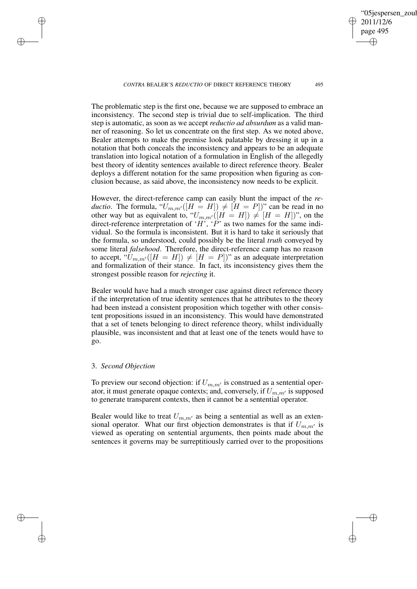*CONTRA* BEALER'S *REDUCTIO* OF DIRECT REFERENCE THEORY 495

05iespersen zoul 2011/12/6 page 495 ✐ ✐

✐

✐

The problematic step is the first one, because we are supposed to embrace an inconsistency. The second step is trivial due to self-implication. The third step is automatic, as soon as we accept *reductio ad absurdum* as a valid manner of reasoning. So let us concentrate on the first step. As we noted above, Bealer attempts to make the premise look palatable by dressing it up in a notation that both conceals the inconsistency and appears to be an adequate translation into logical notation of a formulation in English of the allegedly best theory of identity sentences available to direct reference theory. Bealer deploys a different notation for the same proposition when figuring as conclusion because, as said above, the inconsistency now needs to be explicit.

However, the direct-reference camp can easily blunt the impact of the *reductio*. The formula, " $U_{m,m'}([H = H]) \neq [H = P]$ " can be read in no other way but as equivalent to, " $U_{m,m'}([H = H]) \neq [H = H])$ ", on the direct-reference interpretation of 'H', 'P' as two names for the same individual. So the formula is inconsistent. But it is hard to take it seriously that the formula, so understood, could possibly be the literal *truth* conveyed by some literal *falsehood*. Therefore, the direct-reference camp has no reason to accept, " $U_{m,m'}([H = H]) \neq [H = P]$ " as an adequate interpretation and formalization of their stance. In fact, its inconsistency gives them the strongest possible reason for *rejecting* it.

Bealer would have had a much stronger case against direct reference theory if the interpretation of true identity sentences that he attributes to the theory had been instead a consistent proposition which together with other consistent propositions issued in an inconsistency. This would have demonstrated that a set of tenets belonging to direct reference theory, whilst individually plausible, was inconsistent and that at least one of the tenets would have to go.

## 3. *Second Objection*

✐

✐

✐

✐

To preview our second objection: if  $U_{m,m'}$  is construed as a sentential operator, it must generate opaque contexts; and, conversely, if  $U_{m,m'}$  is supposed to generate transparent contexts, then it cannot be a sentential operator.

Bealer would like to treat  $U_{m,m'}$  as being a sentential as well as an extensional operator. What our first objection demonstrates is that if  $U_{m,m'}$  is viewed as operating on sentential arguments, then points made about the sentences it governs may be surreptitiously carried over to the propositions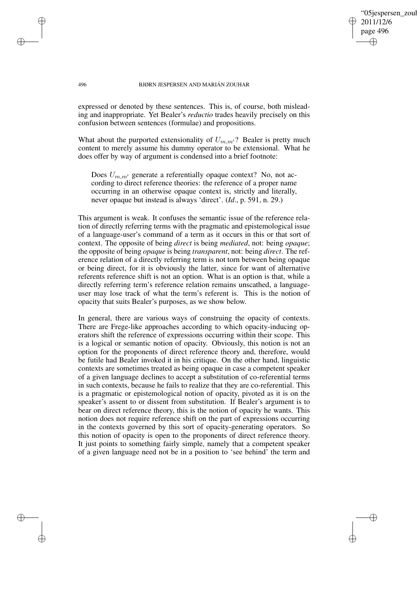05iespersen\_zoul 2011/12/6 page 496 ✐ ✐

✐

✐

### 496 BJØRN JESPERSEN AND MARIÁN ZOUHAR

✐

✐

✐

✐

expressed or denoted by these sentences. This is, of course, both misleading and inappropriate. Yet Bealer's *reductio* trades heavily precisely on this confusion between sentences (formulae) and propositions.

What about the purported extensionality of  $U_{m,m'}$ ? Bealer is pretty much content to merely assume his dummy operator to be extensional. What he does offer by way of argument is condensed into a brief footnote:

Does  $U_{m,m'}$  generate a referentially opaque context? No, not according to direct reference theories: the reference of a proper name occurring in an otherwise opaque context is, strictly and literally, never opaque but instead is always 'direct'. (*Id*., p. 591, n. 29.)

This argument is weak. It confuses the semantic issue of the reference relation of directly referring terms with the pragmatic and epistemological issue of a language-user's command of a term as it occurs in this or that sort of context. The opposite of being *direct* is being *mediated*, not: being *opaque*; the opposite of being *opaque* is being *transparent*, not: being *direct*. The reference relation of a directly referring term is not torn between being opaque or being direct, for it is obviously the latter, since for want of alternative referents reference shift is not an option. What is an option is that, while a directly referring term's reference relation remains unscathed, a languageuser may lose track of what the term's referent is. This is the notion of opacity that suits Bealer's purposes, as we show below.

In general, there are various ways of construing the opacity of contexts. There are Frege-like approaches according to which opacity-inducing operators shift the reference of expressions occurring within their scope. This is a logical or semantic notion of opacity. Obviously, this notion is not an option for the proponents of direct reference theory and, therefore, would be futile had Bealer invoked it in his critique. On the other hand, linguistic contexts are sometimes treated as being opaque in case a competent speaker of a given language declines to accept a substitution of co-referential terms in such contexts, because he fails to realize that they are co-referential. This is a pragmatic or epistemological notion of opacity, pivoted as it is on the speaker's assent to or dissent from substitution. If Bealer's argument is to bear on direct reference theory, this is the notion of opacity he wants. This notion does not require reference shift on the part of expressions occurring in the contexts governed by this sort of opacity-generating operators. So this notion of opacity is open to the proponents of direct reference theory. It just points to something fairly simple, namely that a competent speaker of a given language need not be in a position to 'see behind' the term and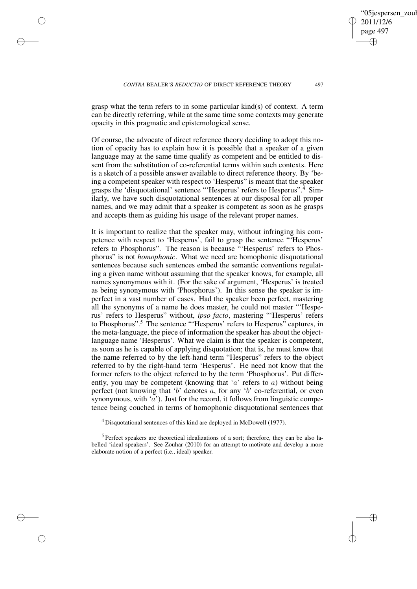✐

✐

✐

05iespersen\_zoul 2011/12/6 page 497 ✐ ✐

✐

✐

grasp what the term refers to in some particular kind(s) of context. A term can be directly referring, while at the same time some contexts may generate opacity in this pragmatic and epistemological sense.

Of course, the advocate of direct reference theory deciding to adopt this notion of opacity has to explain how it is possible that a speaker of a given language may at the same time qualify as competent and be entitled to dissent from the substitution of co-referential terms within such contexts. Here is a sketch of a possible answer available to direct reference theory. By 'being a competent speaker with respect to 'Hesperus" is meant that the speaker grasps the 'disquotational' sentence "'Hesperus' refers to Hesperus".<sup>4</sup> Similarly, we have such disquotational sentences at our disposal for all proper names, and we may admit that a speaker is competent as soon as he grasps and accepts them as guiding his usage of the relevant proper names.

It is important to realize that the speaker may, without infringing his competence with respect to 'Hesperus', fail to grasp the sentence "'Hesperus' refers to Phosphorus". The reason is because "'Hesperus' refers to Phosphorus" is not *homophonic*. What we need are homophonic disquotational sentences because such sentences embed the semantic conventions regulating a given name without assuming that the speaker knows, for example, all names synonymous with it. (For the sake of argument, 'Hesperus' is treated as being synonymous with 'Phosphorus'). In this sense the speaker is imperfect in a vast number of cases. Had the speaker been perfect, mastering all the synonyms of a name he does master, he could not master "'Hesperus' refers to Hesperus" without, *ipso facto*, mastering "'Hesperus' refers to Phosphorus".<sup>5</sup> The sentence "'Hesperus' refers to Hesperus" captures, in the meta-language, the piece of information the speaker has about the objectlanguage name 'Hesperus'. What we claim is that the speaker is competent, as soon as he is capable of applying disquotation; that is, he must know that the name referred to by the left-hand term "Hesperus" refers to the object referred to by the right-hand term 'Hesperus'. He need not know that the former refers to the object referred to by the term 'Phosphorus'. Put differently, you may be competent (knowing that 'a' refers to a) without being perfect (not knowing that 'b' denotes  $a$ , for any 'b' co-referential, or even synonymous, with  $(a')$ . Just for the record, it follows from linguistic competence being couched in terms of homophonic disquotational sentences that

<sup>4</sup> Disquotational sentences of this kind are deployed in McDowell (1977).

<sup>5</sup> Perfect speakers are theoretical idealizations of a sort; therefore, they can be also labelled 'ideal speakers'. See Zouhar (2010) for an attempt to motivate and develop a more elaborate notion of a perfect (i.e., ideal) speaker.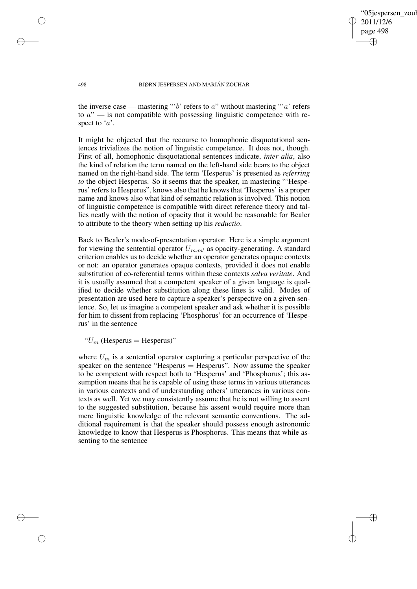✐

#### 498 BJØRN JESPERSEN AND MARIÁN ZOUHAR

the inverse case — mastering "'b' refers to a" without mastering "'a' refers to  $a''$  — is not compatible with possessing linguistic competence with respect to  $'a$ .

It might be objected that the recourse to homophonic disquotational sentences trivializes the notion of linguistic competence. It does not, though. First of all, homophonic disquotational sentences indicate, *inter alia*, also the kind of relation the term named on the left-hand side bears to the object named on the right-hand side. The term 'Hesperus' is presented as *referring to* the object Hesperus. So it seems that the speaker, in mastering "Hesperus' refersto Hesperus", knows also that he knowsthat 'Hesperus' is a proper name and knows also what kind of semantic relation is involved. This notion of linguistic competence is compatible with direct reference theory and tallies neatly with the notion of opacity that it would be reasonable for Bealer to attribute to the theory when setting up his *reductio*.

Back to Bealer's mode-of-presentation operator. Here is a simple argument for viewing the sentential operator  $U_{m,m'}$  as opacity-generating. A standard criterion enables us to decide whether an operator generates opaque contexts or not: an operator generates opaque contexts, provided it does not enable substitution of co-referential terms within these contexts *salva veritate*. And it is usually assumed that a competent speaker of a given language is qualified to decide whether substitution along these lines is valid. Modes of presentation are used here to capture a speaker's perspective on a given sentence. So, let us imagine a competent speaker and ask whether it is possible for him to dissent from replacing 'Phosphorus' for an occurrence of 'Hesperus' in the sentence

" $U_m$  (Hesperus = Hesperus)"

where  $U_m$  is a sentential operator capturing a particular perspective of the speaker on the sentence "Hesperus = Hesperus". Now assume the speaker to be competent with respect both to 'Hesperus' and 'Phosphorus'; this assumption means that he is capable of using these terms in various utterances in various contexts and of understanding others' utterances in various contexts as well. Yet we may consistently assume that he is not willing to assent to the suggested substitution, because his assent would require more than mere linguistic knowledge of the relevant semantic conventions. The additional requirement is that the speaker should possess enough astronomic knowledge to know that Hesperus is Phosphorus. This means that while assenting to the sentence

✐

✐

✐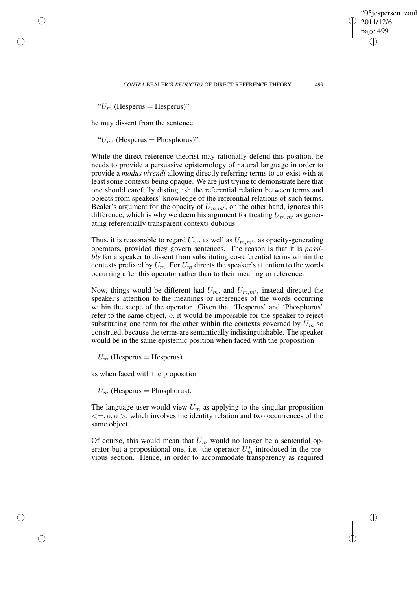2011/12/6 page 499 ✐ ✐

✐

✐

'05jespersen\_zoul

" $U_m$  (Hesperus = Hesperus)"

✐

✐

✐

✐

he may dissent from the sentence

" $U_{m'}$  (Hesperus = Phosphorus)".

While the direct reference theorist may rationally defend this position, he needs to provide a persuasive epistemology of natural language in order to provide a *modus vivendi* allowing directly referring terms to co-exist with at least some contexts being opaque. We are just trying to demonstrate here that one should carefully distinguish the referential relation between terms and objects from speakers' knowledge of the referential relations of such terms. Bealer's argument for the opacity of  $U_{m,m'}$ , on the other hand, ignores this difference, which is why we deem his argument for treating  $U_{m,m'}$  as generating referentially transparent contexts dubious.

Thus, it is reasonable to regard  $U_m$ , as well as  $U_{m,m'}$ , as opacity-generating operators, provided they govern sentences. The reason is that it is *possible* for a speaker to dissent from substituting co-referential terms within the contexts prefixed by  $U_m$ . For  $U_m$  directs the speaker's attention to the words occurring after this operator rather than to their meaning or reference.

Now, things would be different had  $U_m$ , and  $U_{m,m'}$ , instead directed the speaker's attention to the meanings or references of the words occurring within the scope of the operator. Given that 'Hesperus' and 'Phosphorus' refer to the same object, o, it would be impossible for the speaker to reject substituting one term for the other within the contexts governed by  $U_m$  so construed, because the terms are semantically indistinguishable. The speaker would be in the same epistemic position when faced with the proposition

 $U_m$  (Hesperus = Hesperus)

as when faced with the proposition

 $U_m$  (Hesperus = Phosphorus).

The language-user would view  $U_m$  as applying to the singular proposition  $\langle 0, \rho \rangle$ , which involves the identity relation and two occurrences of the same object.

Of course, this would mean that  $U_m$  would no longer be a sentential operator but a propositional one, i.e. the operator  $U_m^*$  introduced in the previous section. Hence, in order to accommodate transparency as required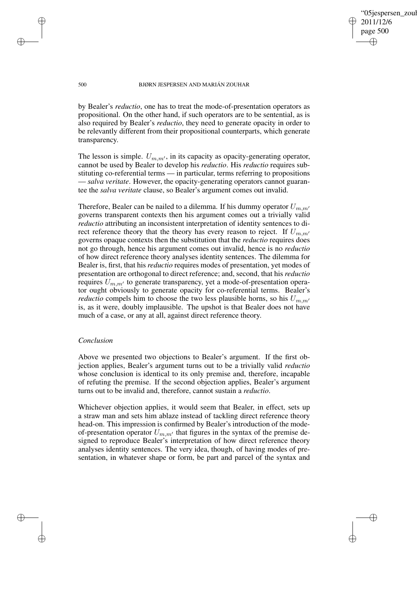✐

### 500 BJØRN JESPERSEN AND MARIÁN ZOUHAR

by Bealer's *reductio*, one has to treat the mode-of-presentation operators as propositional. On the other hand, if such operators are to be sentential, as is also required by Bealer's *reductio*, they need to generate opacity in order to be relevantly different from their propositional counterparts, which generate transparency.

The lesson is simple.  $U_{m,m'}$ , in its capacity as opacity-generating operator, cannot be used by Bealer to develop his *reductio*. His *reductio* requires substituting co-referential terms — in particular, terms referring to propositions — *salva veritate*. However, the opacity-generating operators cannot guarantee the *salva veritate* clause, so Bealer's argument comes out invalid.

Therefore, Bealer can be nailed to a dilemma. If his dummy operator  $U_{m,m'}$ governs transparent contexts then his argument comes out a trivially valid *reductio* attributing an inconsistent interpretation of identity sentences to direct reference theory that the theory has every reason to reject. If  $U_{m,m'}$ governs opaque contexts then the substitution that the *reductio* requires does not go through, hence his argument comes out invalid, hence is no *reductio* of how direct reference theory analyses identity sentences. The dilemma for Bealer is, first, that his *reductio* requires modes of presentation, yet modes of presentation are orthogonal to direct reference; and, second, that his *reductio* requires  $U_{m,m'}$  to generate transparency, yet a mode-of-presentation operator ought obviously to generate opacity for co-referential terms. Bealer's *reductio* compels him to choose the two less plausible horns, so his  $U_{m,m'}$ is, as it were, doubly implausible. The upshot is that Bealer does not have much of a case, or any at all, against direct reference theory.

## *Conclusion*

Above we presented two objections to Bealer's argument. If the first objection applies, Bealer's argument turns out to be a trivially valid *reductio* whose conclusion is identical to its only premise and, therefore, incapable of refuting the premise. If the second objection applies, Bealer's argument turns out to be invalid and, therefore, cannot sustain a *reductio*.

Whichever objection applies, it would seem that Bealer, in effect, sets up a straw man and sets him ablaze instead of tackling direct reference theory head-on. This impression is confirmed by Bealer's introduction of the modeof-presentation operator  $U_{m,m'}$  that figures in the syntax of the premise designed to reproduce Bealer's interpretation of how direct reference theory analyses identity sentences. The very idea, though, of having modes of presentation, in whatever shape or form, be part and parcel of the syntax and

✐

✐

✐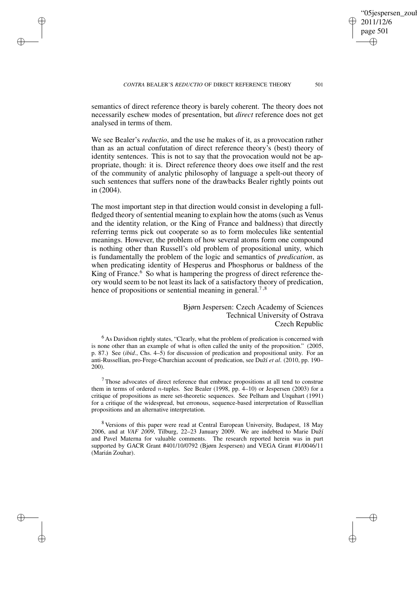✐

semantics of direct reference theory is barely coherent. The theory does not necessarily eschew modes of presentation, but *direct* reference does not get analysed in terms of them.

✐

✐

✐

✐

We see Bealer's *reductio*, and the use he makes of it, as a provocation rather than as an actual confutation of direct reference theory's (best) theory of identity sentences. This is not to say that the provocation would not be appropriate, though: it is. Direct reference theory does owe itself and the rest of the community of analytic philosophy of language a spelt-out theory of such sentences that suffers none of the drawbacks Bealer rightly points out in (2004).

The most important step in that direction would consist in developing a fullfledged theory of sentential meaning to explain how the atoms (such as Venus and the identity relation, or the King of France and baldness) that directly referring terms pick out cooperate so as to form molecules like sentential meanings. However, the problem of how several atoms form one compound is nothing other than Russell's old problem of propositional unity, which is fundamentally the problem of the logic and semantics of *predication*, as when predicating identity of Hesperus and Phosphorus or baldness of the King of France. $6\,$  So what is hampering the progress of direct reference theory would seem to be not least its lack of a satisfactory theory of predication, hence of propositions or sentential meaning in general.<sup>7,8</sup>

> Bjørn Jespersen: Czech Academy of Sciences Technical University of Ostrava Czech Republic

<sup>6</sup> As Davidson rightly states, "Clearly, what the problem of predication is concerned with is none other than an example of what is often called the unity of the proposition." (2005, p. 87.) See (*ibid*., Chs. 4–5) for discussion of predication and propositional unity. For an anti-Russellian, pro-Frege-Churchian account of predication, see Duží *et al*. (2010, pp. 190– 200).

<sup>7</sup> Those advocates of direct reference that embrace propositions at all tend to construe them in terms of ordered *n*-tuples. See Bealer (1998, pp.  $4-10$ ) or Jespersen (2003) for a critique of propositions as mere set-theoretic sequences. See Pelham and Urquhart (1991) for a critique of the widespread, but erronous, sequence-based interpretation of Russellian propositions and an alternative interpretation.

<sup>8</sup> Versions of this paper were read at Central European University, Budapest, 18 May 2006, and at *VAF 2009*, Tilburg, 22–23 January 2009. We are indebted to Marie Duží and Pavel Materna for valuable comments. The research reported herein was in part supported by GACR Grant #401/10/0792 (Bjørn Jespersen) and VEGA Grant #1/0046/11 (Marián Zouhar).